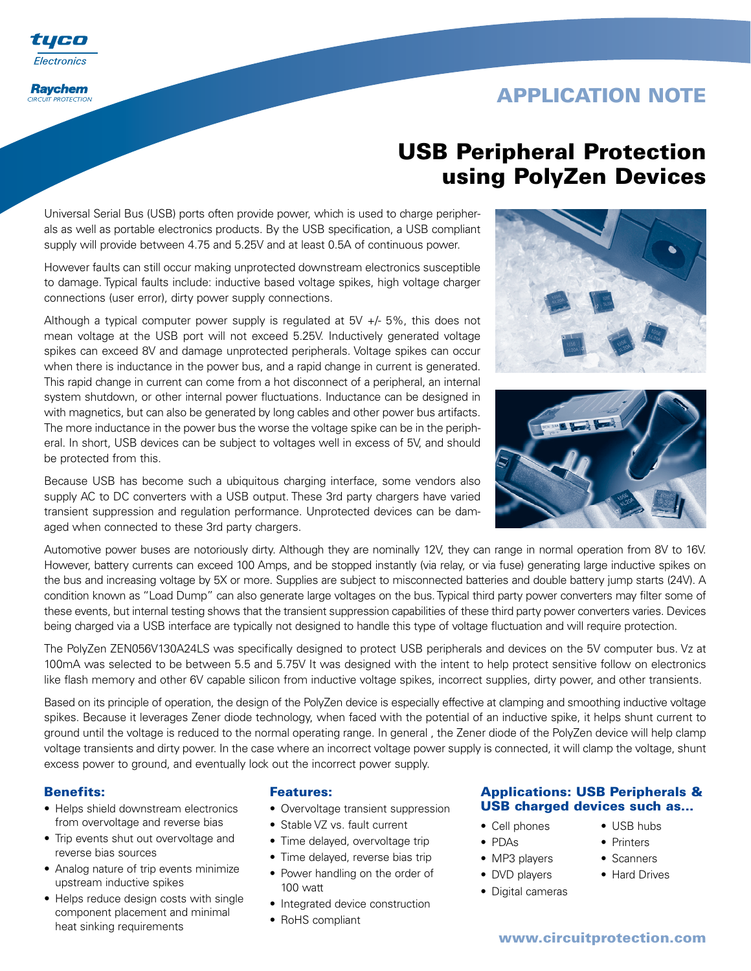

# **USB Peripheral Protection using PolyZen Devices**

Universal Serial Bus (USB) ports often provide power, which is used to charge peripherals as well as portable electronics products. By the USB specification, a USB compliant supply will provide between 4.75 and 5.25V and at least 0.5A of continuous power.

However faults can still occur making unprotected downstream electronics susceptible to damage. Typical faults include: inductive based voltage spikes, high voltage charger connections (user error), dirty power supply connections.

Although a typical computer power supply is regulated at 5V +/- 5%, this does not mean voltage at the USB port will not exceed 5.25V. Inductively generated voltage spikes can exceed 8V and damage unprotected peripherals. Voltage spikes can occur when there is inductance in the power bus, and a rapid change in current is generated. This rapid change in current can come from a hot disconnect of a peripheral, an internal system shutdown, or other internal power fluctuations. Inductance can be designed in with magnetics, but can also be generated by long cables and other power bus artifacts. The more inductance in the power bus the worse the voltage spike can be in the peripheral. In short, USB devices can be subject to voltages well in excess of 5V, and should be protected from this.

Because USB has become such a ubiquitous charging interface, some vendors also supply AC to DC converters with a USB output. These 3rd party chargers have varied transient suppression and regulation performance. Unprotected devices can be damaged when connected to these 3rd party chargers.

Automotive power buses are notoriously dirty. Although they are nominally 12V, they can range in normal operation from 8V to 16V. However, battery currents can exceed 100 Amps, and be stopped instantly (via relay, or via fuse) generating large inductive spikes on the bus and increasing voltage by 5X or more. Supplies are subject to misconnected batteries and double battery jump starts (24V). A condition known as "Load Dump" can also generate large voltages on the bus. Typical third party power converters may filter some of these events, but internal testing shows that the transient suppression capabilities of these third party power converters varies. Devices being charged via a USB interface are typically not designed to handle this type of voltage fluctuation and will require protection.

The PolyZen ZEN056V130A24LS was specifically designed to protect USB peripherals and devices on the 5V computer bus. Vz at 100mA was selected to be between 5.5 and 5.75V It was designed with the intent to help protect sensitive follow on electronics like flash memory and other 6V capable silicon from inductive voltage spikes, incorrect supplies, dirty power, and other transients.

Based on its principle of operation, the design of the PolyZen device is especially effective at clamping and smoothing inductive voltage spikes. Because it leverages Zener diode technology, when faced with the potential of an inductive spike, it helps shunt current to ground until the voltage is reduced to the normal operating range. In general , the Zener diode of the PolyZen device will help clamp voltage transients and dirty power. In the case where an incorrect voltage power supply is connected, it will clamp the voltage, shunt excess power to ground, and eventually lock out the incorrect power supply.

### **Benefits:**

UI EI Electronics

**Raychem CIRCUIT PROTECTION** 

- Helps shield downstream electronics from overvoltage and reverse bias
- Trip events shut out overvoltage and reverse bias sources
- Analog nature of trip events minimize upstream inductive spikes
- Helps reduce design costs with single component placement and minimal heat sinking requirements

### **Features:**

- Overvoltage transient suppression
- Stable VZ vs. fault current
- Time delayed, overvoltage trip
- Time delayed, reverse bias trip
- Power handling on the order of 100 watt
- Integrated device construction
- RoHS compliant





### **Applications: USB Peripherals & USB charged devices such as...**

- Cell phones
- PDAs
- MP3 players
- DVD players
- Digital cameras
- USB hubs
- Printers
- Scanners
- Hard Drives
- 

### **www.circuitprotection.com**